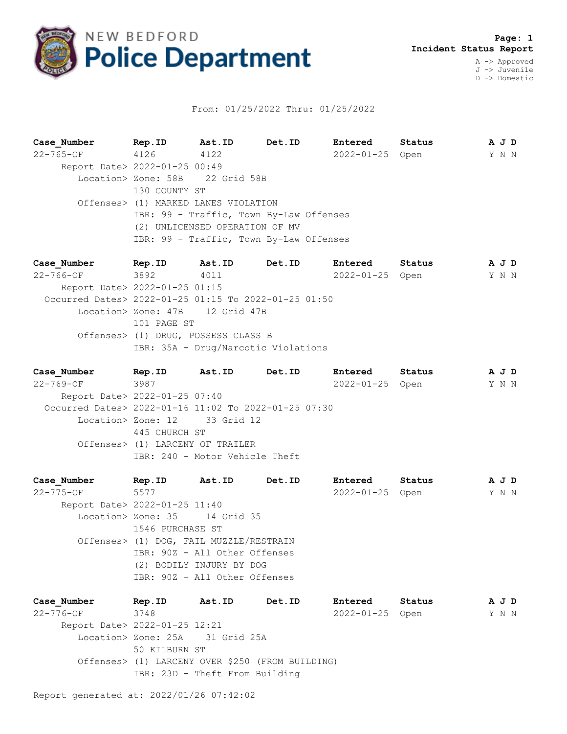

## From: 01/25/2022 Thru: 01/25/2022

**Case\_Number Rep.ID Ast.ID Det.ID Entered Status A J D** 22-765-OF 4126 4122 2022-01-25 Open Y N N Report Date> 2022-01-25 00:49 Location> Zone: 58B 22 Grid 58B 130 COUNTY ST Offenses> (1) MARKED LANES VIOLATION IBR: 99 - Traffic, Town By-Law Offenses (2) UNLICENSED OPERATION OF MV IBR: 99 - Traffic, Town By-Law Offenses

**Case\_Number Rep.ID Ast.ID Det.ID Entered Status A J D** 22-766-OF 3892 4011 2022-01-25 Open Y N N Report Date> 2022-01-25 01:15 Occurred Dates> 2022-01-25 01:15 To 2022-01-25 01:50 Location> Zone: 47B 12 Grid 47B 101 PAGE ST Offenses> (1) DRUG, POSSESS CLASS B IBR: 35A - Drug/Narcotic Violations

**Case\_Number Rep.ID Ast.ID Det.ID Entered Status A J D** 22-769-OF 3987 2022-01-25 Open Y N N Report Date> 2022-01-25 07:40 Occurred Dates> 2022-01-16 11:02 To 2022-01-25 07:30 Location> Zone: 12 33 Grid 12 445 CHURCH ST Offenses> (1) LARCENY OF TRAILER IBR: 240 - Motor Vehicle Theft

**Case\_Number Rep.ID Ast.ID Det.ID Entered Status A J D** 22-775-OF 5577 2022-01-25 Open Y N N Report Date> 2022-01-25 11:40 Location> Zone: 35 14 Grid 35 1546 PURCHASE ST Offenses> (1) DOG, FAIL MUZZLE/RESTRAIN IBR: 90Z - All Other Offenses (2) BODILY INJURY BY DOG IBR: 90Z - All Other Offenses

**Case\_Number Rep.ID Ast.ID Det.ID Entered Status A J D** 22-776-OF 3748 2022-01-25 Open Y N N Report Date> 2022-01-25 12:21 Location> Zone: 25A 31 Grid 25A 50 KILBURN ST Offenses> (1) LARCENY OVER \$250 (FROM BUILDING) IBR: 23D - Theft From Building